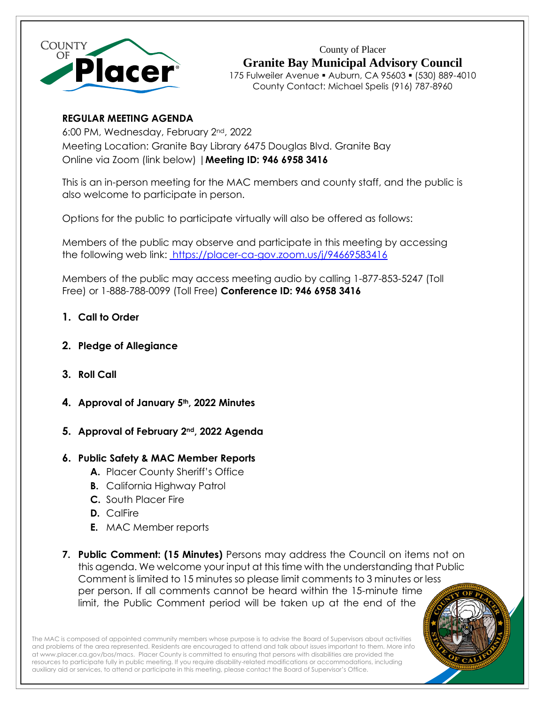

County of Placer **Granite Bay Municipal Advisory Council** 175 Fulweiler Avenue ▪ Auburn, CA 95603 ▪ (530) 889-4010 County Contact: Michael Spelis (916) 787-8960

# **REGULAR MEETING AGENDA**

6:00 PM, Wednesday, February 2nd, 2022 Meeting Location: Granite Bay Library 6475 Douglas Blvd. Granite Bay Online via Zoom (link below) |**Meeting ID: 946 6958 3416**

This is an in-person meeting for the MAC members and county staff, and the public is also welcome to participate in person.

Options for the public to participate virtually will also be offered as follows:

Members of the public may observe and participate in this meeting by accessing the following web link: [https://placer-ca-gov.zoom.us/j/94669583416](https://placer-ca-gov.zoom.us/j/98625978192)

Members of the public may access meeting audio by calling 1-877-853-5247 (Toll Free) or 1-888-788-0099 (Toll Free) **Conference ID: 946 6958 3416**

- **1. Call to Order**
- **2. Pledge of Allegiance**
- **3. Roll Call**
- **4. Approval of January 5th, 2022 Minutes**
- **5. Approval of February 2nd, 2022 Agenda**

# **6. Public Safety & MAC Member Reports**

- **A.** Placer County Sheriff's Office
- **B.** California Highway Patrol
- **C.** South Placer Fire
- **D.** CalFire
- **E.** MAC Member reports
- **7. Public Comment: (15 Minutes)** Persons may address the Council on items not on this agenda. We welcome your input at this time with the understanding that Public Comment is limited to 15 minutes so please limit comments to 3 minutes or less per person. If all comments cannot be heard within the 15-minute time limit, the Public Comment period will be taken up at the end of the

The MAC is composed of appointed community members whose purpose is to advise the Board of Supervisors about activities and problems of the area represented. Residents are encouraged to attend and talk about issues important to them. More info a[t www.placer.ca.gov/bos/macs.](http://www.placer.ca.gov/bos/macs) Placer County is committed to ensuring that persons with disabilities are provided the resources to participate fully in public meeting. If you require disability-related modifications or accommodations, including auxiliary aid or services, to attend or participate in this meeting, please contact the Board of Supervisor's Office.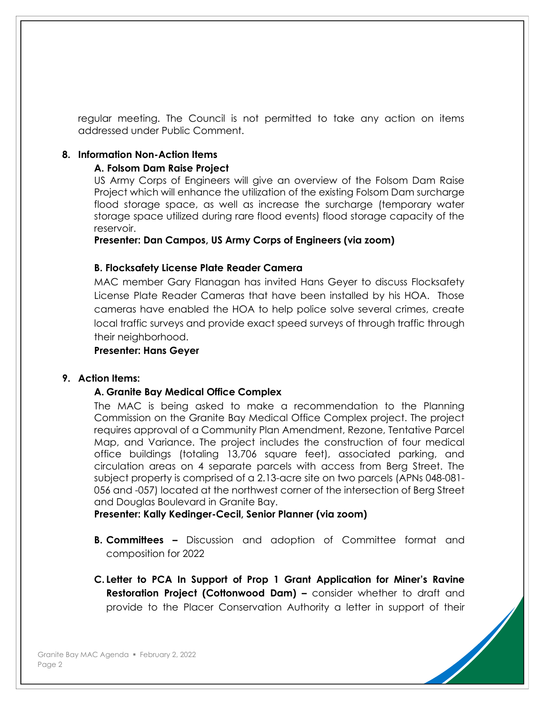regular meeting. The Council is not permitted to take any action on items addressed under Public Comment.

#### **8. Information Non-Action Items**

#### **A. Folsom Dam Raise Project**

US Army Corps of Engineers will give an overview of the Folsom Dam Raise Project which will enhance the utilization of the existing Folsom Dam surcharge flood storage space, as well as increase the surcharge (temporary water storage space utilized during rare flood events) flood storage capacity of the reservoir.

**Presenter: Dan Campos, US Army Corps of Engineers (via zoom)**

#### **B. Flocksafety License Plate Reader Camera**

MAC member Gary Flanagan has invited Hans Geyer to discuss Flocksafety License Plate Reader Cameras that have been installed by his HOA. Those cameras have enabled the HOA to help police solve several crimes, create local traffic surveys and provide exact speed surveys of through traffic through their neighborhood.

#### **Presenter: Hans Geyer**

# **9. Action Items:**

# **A. Granite Bay Medical Office Complex**

The MAC is being asked to make a recommendation to the Planning Commission on the Granite Bay Medical Office Complex project. The project requires approval of a Community Plan Amendment, Rezone, Tentative Parcel Map, and Variance. The project includes the construction of four medical office buildings (totaling 13,706 square feet), associated parking, and circulation areas on 4 separate parcels with access from Berg Street. The subject property is comprised of a 2.13-acre site on two parcels (APNs 048-081- 056 and -057) located at the northwest corner of the intersection of Berg Street and Douglas Boulevard in Granite Bay.

**Presenter: Kally Kedinger-Cecil, Senior Planner (via zoom)**

- **B. Committees –** Discussion and adoption of Committee format and composition for 2022
- **C. Letter to PCA In Support of Prop 1 Grant Application for Miner's Ravine Restoration Project (Cottonwood Dam) –** consider whether to draft and provide to the Placer Conservation Authority a letter in support of their